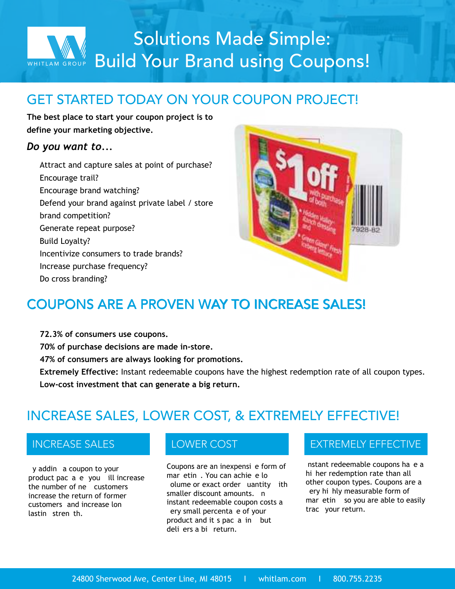# Solutions Made Simple: Solutions Made Simple: WHITLAM GROUP Build Your Brand using Coupons!

## GET STARTED TODAY ON YOUR COUPON PROJECT!

**The best place to start your coupon project is to define your marketing objective. .**

### *Do you want to...*

Attract and capture sales at point of purchase? Encourage trail? • Encourage brand watching? Defend your brand against private label / store brand competition? Generate repeat purpose? • Build Loyalty? • Incentivize consumers to trade brands? • Increase purchase frequency? • Do cross branding?



## COUPONS ARE A PROVEN WAY TO INCREASE SALES!

**• 72.3% of consumers use coupons.**

**• 70% of purchase decisions are made in-store.**

**• 47% of consumers are always looking for promotions.**

**• Extremely Effective:** Instant redeemable coupons have the highest redemption rate of all coupon types. **• Low-cost investment that can generate a big return.**

## INCREASE SALES, LOWER COST, & EXTREMELY EFFECTIVE!

y addin a coupon to your product pac a e you ill increase the number of  $ne$  customers increase the return of former customers, and increase long lastin stren th.

Coupons are an inexpensi e form of mar etin. You can achie e lo olume or exact order uantity ith smaller discount amounts. n instant redeemable coupon costs a ery small percenta e of your product and it s pac a in but deli ers a bi return.

### INCREASE SALES **EXTREMELY EFFECTIVE**

nstant redeemable coupons ha e a hi her redemption rate than all other coupon types. Coupons are a ery hi hly measurable form of mar etin so you are able to easily trac your return.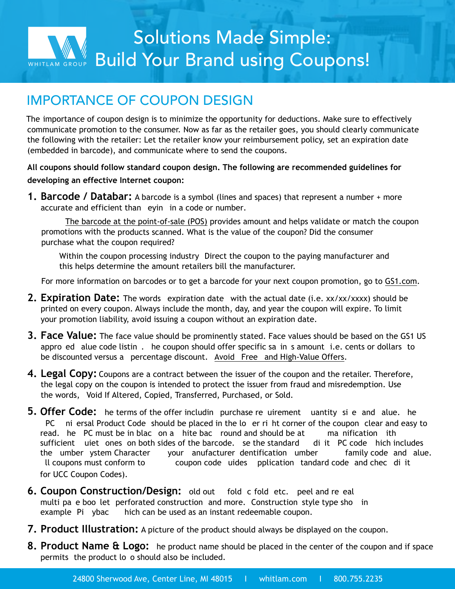

### IMPORTANCE OF COUPON DESIGN

The importance of coupon design is to minimize the opportunity for deductions. Make sure to effectively communicate promotion to the consumer. Now as far as the retailer goes, you should clearly communicate the following with the retailer: Let the retailer know your reimbursement policy, set an expiration date (embedded in barcode), and communicate where to send the coupons.

**All coupons should follow standard coupon design. The following are recommended guidelines for developing an effective Internet coupon:**

**1. Barcode / Databar:** A barcode is a symbol (lines and spaces) that represent a number + more accurate and efficient than eyin in a code or number.

• The barcode at the point-of-sale (POS) provides amount and helps validate or match the coupon promotions with the products scanned. What is the value of the coupon? Did the consumer purchase what the coupon required?

Within the coupon processing industry Direct the coupon to the paying manufacturer and this helps determine the amount retailers bill the manufacturer.

For more information on barcodes or to get a barcode for your next coupon promotion, go to [GS1.com](http://GS1.com).

- **2. Expiration Date:** The words expiration date with the actual date (i.e. xx/xx/xxxx) should be printed on every coupon. Always include the month, day, and year the coupon will expire. To limit your promotion liability, avoid issuing a coupon without an expiration date.
- **3. Face Value:** The face value should be prominently stated. Face values should be based on the GS1 US appro ed alue code listin, he coupon should offer specific sa in s amount i.e. cents or dollars to be discounted versus a percentage discount. Avoid Free and High-Value Offers.
- **4. Legal Copy:** Coupons are a contract between the issuer of the coupon and the retailer. Therefore, the legal copy on the coupon is intended to protect the issuer from fraud and misredemption. Use the words, Void If Altered, Copied, Transferred, Purchased, or Sold.
- for UCC Coupon Codes). **5. Offer Code:** he terms of the offer includin purchase re uirement uantity si e and alue. he PC in ersal Product Code should be placed in the lower right corner of the coupon clear and easy to read. he PC must be in blac on a hite bac round and should be at 100 manification ith sufficient uiet ones on both sides of the barcode. Se the standard di it PC code hich includes the umber ystem Character "your anufacturer dentification umber" family code and alue. Il coupons must conform to coupon code uides pplication tandard code and chec di it
- **6. Coupon Construction/Design:** old out fold c fold etc. peel and re eal multi pa e boo let perforated construction and more. Construction style type sho in example: Piggbac hich can be used as an instant redeemable coupon.
- **7. Product Illustration:** A picture of the product should always be displayed on the coupon.
- **8. Product Name & Logo:** he product name should be placed in the center of the coupon and if space permits, the product lo o should also be included.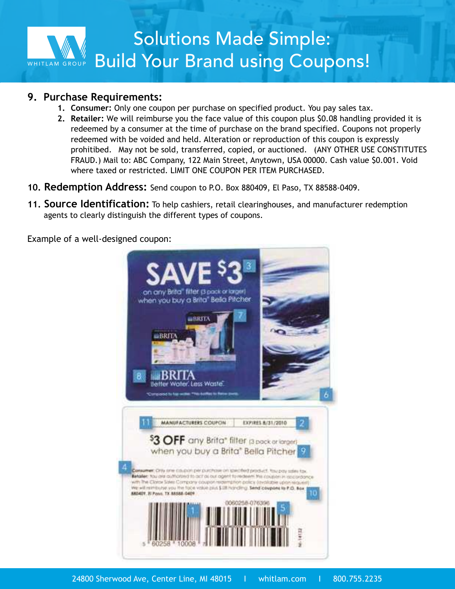

#### **9. Purchase Requirements:**

- **1. Consumer:** Only one coupon per purchase on specified product. You pay sales tax.
- **2. Retailer:** We will reimburse you the face value of this coupon plus \$0.08 handling provided it is redeemed by a consumer at the time of purchase on the brand specified. Coupons not properly redeemed with be voided and held. Alteration or reproduction of this coupon is expressly prohitibed. May not be sold, transferred, copied, or auctioned. (ANY OTHER USE CONSTITUTES FRAUD.) Mail to: ABC Company, 122 Main Street, Anytown, USA 00000. Cash value \$0.001. Void where taxed or restricted. LIMIT ONE COUPON PER ITEM PURCHASED.
- **10. Redemption Address:** Send coupon to P.O. Box 880409, El Paso, TX 88588-0409.
- **11. Source Identification:** To help cashiers, retail clearinghouses, and manufacturer redemption agents to clearly distinguish the different types of coupons.

Example of a well-designed coupon:

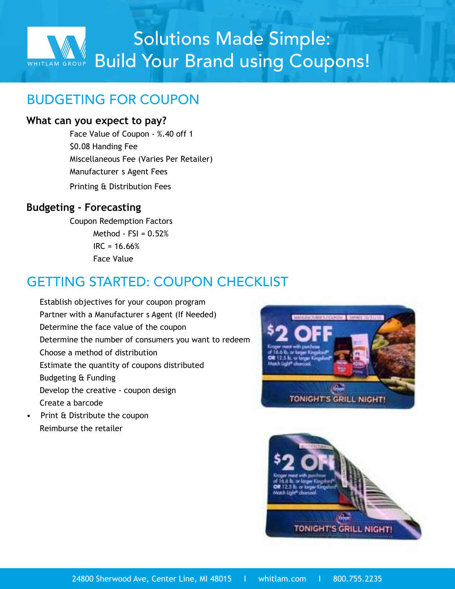

### BUDGETING FOR COUPON

#### **What can you expect to pay?**

• Face Value of Coupon - %.40 off 1 • \$0.08 Handing Fee • Miscellaneous Fee (Varies Per Retailer) Manufacturer s Agent Fees • Printing & Distribution Fees

### **Budgeting - Forecasting**

• Coupon Redemption Factors Method -  $FSI = 0.52%$  $IRC = 16.66%$ • Face Value

### GETTING STARTED: COUPON CHECKLIST

- Establish objectives for your coupon program Partner with a Manufacturer s Agent (If Needed) • Determine the face value of the coupon Determine the number of consumers you want to redeem • Choose a method of distribution Estimate the quantity of coupons distributed • Budgeting & Funding • Develop the creative - coupon design • Create a barcode
- Print & Distribute the coupon • Reimburse the retailer



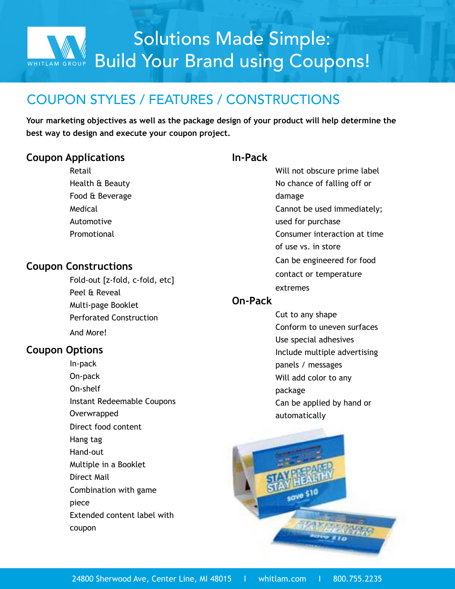### COUPON STYLES / FEATURES / CONSTRUCTIONS

**Your marketing objectives as well as the package design of your product will help determine the best way to design and execute your coupon project.**

#### **Coupon Applications**

**Retail** • Health & Beauty • Food & Beverage **Medical** • Automotive **Promotional** 

### **Coupon Constructions**

• Fold-out [z-fold, c-fold, etc] Peel & Reveal • Multi-page Booklet • Perforated Construction And More!

### **Coupon Options**

• In-pack • On-pack • On-shelf • Instant Redeemable Coupons • Overwrapped Direct food content • Hang tag • Hand-out • Multiple in a Booklet Direct Mail • Combination with game piece Extended content label with coupon

#### **In-Pack**

Will not obscure prime label • No chance of falling off or damage • Cannot be used immediately; used for purchase • Consumer interaction at time of use vs. in store • Can be engineered for food contact or temperature extremes

#### **On-Pack**

Cut to any shape • Conform to uneven surfaces Use special adhesives • Include multiple advertising panels / messages • Will add color to any package Can be applied by hand or automatically

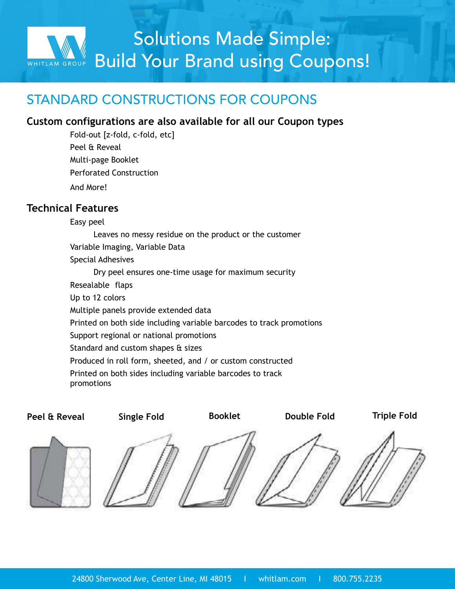

### STANDARD CONSTRUCTIONS FOR COUPONS

#### **Custom configurations are also available for all our Coupon types**

• Fold-out [z-fold, c-fold, etc] Peel & Reveal • Multi-page Booklet • Perforated Construction • And More!

### **Technical Features**

**Technical FeaturesPeel & Reveal**

Easy peel Leaves no messy residue on the product or the customer Variable Imaging, Variable Data • Special Adhesives • Dry peel ensures one-time usage for maximum security Resealable flaps Up to 12 colors • Multiple panels provide extended data • Printed on both side including variable barcodes to track promotions Support regional or national promotions Standard and custom shapes & sizes • Produced in roll form, sheeted, and / or custom constructed • Printed on both sides including variable barcodes to track promotions

 $\leftarrow$ **Peel & Reveal Single Fold Booklet Double Fold Triple Fold**